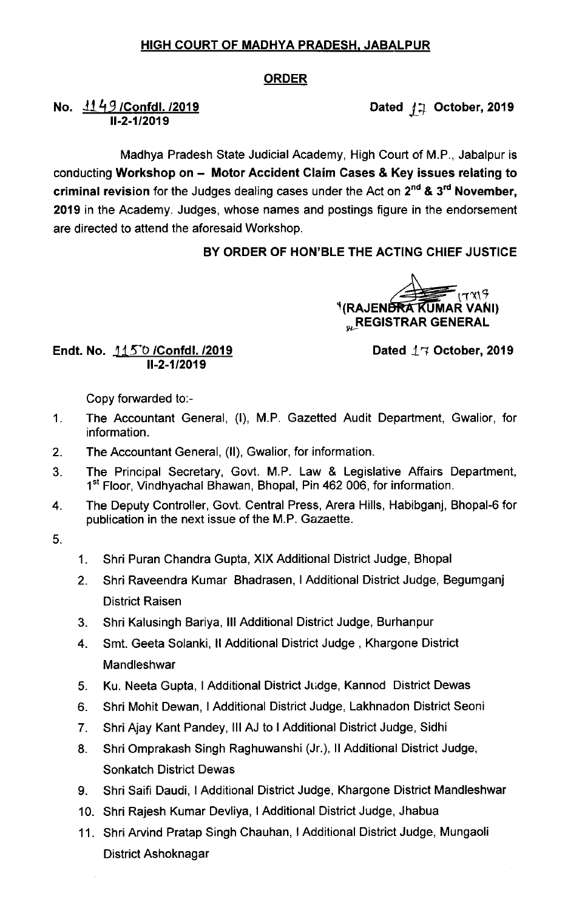### HIGH COURT OF MADHYA PRADESH, JABALPUR

#### ORDER

# No.  $1149$  /Confdl. /2019 11-2-1/2019

Madhya Pradesh State Judicial Academy, High Court of M.P., Jabalpur is conducting Workshop on - Motor Accident Claim Cases & Key issues relating to criminal revision for the Judges dealing cases under the Act on  $2^{nd}$  &  $3^{rd}$  November, 2019 in the Academy. Judges, whose names and postings figure in the endorsement are directed to attend the aforesaid Workshop.

# BY ORDER OF HON'BLE THE ACTING CHIEF JUSTICE

 $V(\mathsf{RAJENBRA}^{\mathsf{R}}\widetilde{\mathsf{KUMAR}^{\mathsf{U}}}\mathsf{VANI})$ **"REGISTRAR GENERAL** 

#### Endt. No. 115°0 /Confdl. /2019 11-2-1/2019

Dated  $17$  October, 2019

Copy forwarded to:-

- 1. The Accountant General, (I), M.P, Gazetted Audit Department, Gwalior, for information.
- 2. The Accountant General, (ll), Gwalior, for information.
- The Principal Secretary, Govt. M.P. Law & Legislative Affairs Department,  $3<sub>1</sub>$ 1<sup>st</sup> Floor, Vindhyachal Bhawan, Bhopal, Pin 462 006, for information.
- 4. The Deputy Controller, Govt. Central Press, Arera Hills, Habibganj, Bhopal-6 for publication in the next issue of the M.P. Gazaette.

5.

- 1. Shri puran chandra Gupta, XIX Additional District Judge, Bhopal
- 2. Shri Raveendra Kumar Bhadrasen,I Additional District Judge, Begumganj District Raisen
- 3. Shri Kalusingh Bariya, Ill Additional District Judge, Burhanpur
- 4. Smt, Geeta solanki, ll Additional District Judge , Khargone District **Mandleshwar**
- 5. Ku. Neeta Gupta, I Additional District Judge, Kannod District Dewas
- 6. Shri Mohit Dewan, I Additional District Judge, Lakhnadon District seoni
- 7. Shri Ajay Kant pandey, Ill AJ to I Additional District Judge, Sidhi
- 8. Shri Omprakash Singh Raghuwanshi (Jr.), Il Additional District Judge, Sonkatch District Dewas
- 9. Shri Saifi Daudi, I Additional District Judge, Khargone District Mandleshwar
- 10. Shri Rajesh Kumar Devliya,I Additional District Judge, Jhabua
- 11, Shri Arvind Pratap Singh Chauhan, I Additional District Judge, Mungaoli District Ashoknagar

Dated  $j \mp$  October, 2019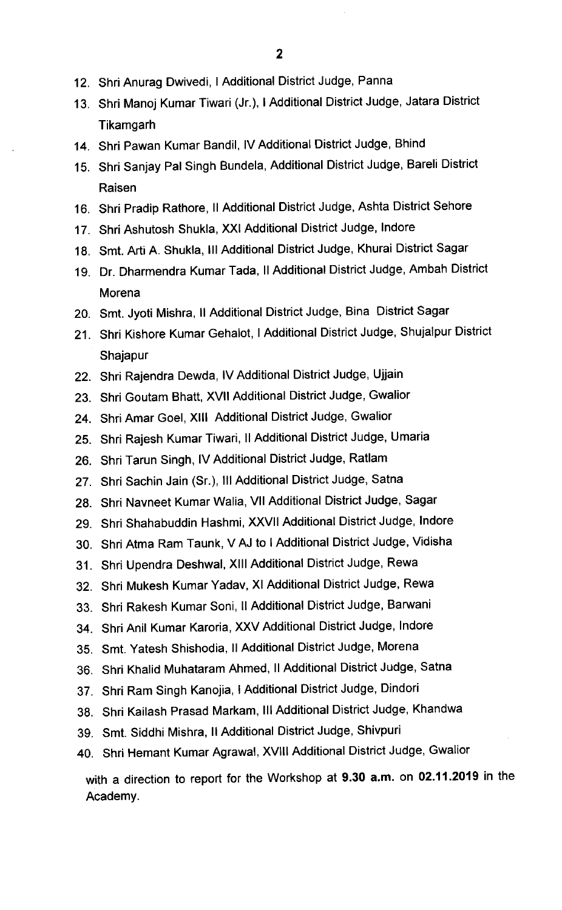- 12. Shri Anurag Dwivedi, I Additional District Judge, Panna
- 13. Shri Manoj Kumar Tiwari (Jr.),I Additional District Judge, Jatara District **Tikamgarh**
- 14. Shri Pawan Kumar Bandil, IV Additional District Judge, Bhind
- 15. Shri Sanjay Pal Singh Bundela, Additional District Judge, Bareli District Raisen
- 16. Shri Pradip Rathore, II Additional District Judge, Ashta District Sehore
- 17. Shri Ashutosh Shukla, XXI Additional District Judge, lndore
- 18. Smt. Arti A. Shukla, III Additional District Judge, Khurai District Sagar
- 19. Dr. Dharmendra Kumar Tada, II Additional District Judge, Ambah District Morena
- 20. Smt. Jyoti Mishra, 11 Additional District Judge, Bina District Sagar
- 21. Shri Kishore Kumar Gehalot,I Additional District Judge, Shujalpur District Shajapur
- 22. Shri Rajendra Dewda, IV Additional District Judge, Ujjain
- 23. Shri Goutam Bhatt, Xvll Additional District Judge, Gwalior
- 24. Shri Amar Goel, XIII Additional District Judge, Gwalior
- 25. Shri Rajesh Kumar Tiwari, II Additional District Judge, Umaria
- 26. Shri Tarun Singh, lv Additional District Judge, Ratlam
- 27. Shri Sachin Jain (Sr.), Ill Additional District Judge, Satna
- 28. Shri Navneet Kumar Walia, VII Additional District Judge, Sagar
- 29. Shri Shahabuddin Hashmi, Xxvll Additional District Judge, lndore
- 30. Shri Atma Ram Taunk, V AJ to I Additional District Judge, Vidisha
- 31. Shri Upendra Deshwal, Xlll Additional District Judge, Rewa
- 32. Shri Mukesh Kumar Yadav, XI Additional District Judge, Rewa
- 33. Shri Rakesh Kumar Soni, II Additional District Judge, Barwani
- 34. Shri Anil Kumar Karoria, XXV Additional District Judge, lndore
- 35. Smt. Yatesh Shishodia, II Additional District Judge, Morena
- 36. Shri Khalid Muhataram Ahmed, II Additional District Judge, Satna
- 37. Shri Ram Singh Kanojia, I Additional District Judge, Dindori
- 38. Shri Kailash Prasad Markam, III Additional District Judge, Khandwa
- 39. Smt. Siddhi Mishra, II Additional District Judge, Shivpuri
- 40. Shri Hemant Kumar Agrawal, XvllI Additional District Judge, Gwalior

with a direction to report for the Workshop at 9.30 a.m. on 02.11.2019 in the Academy.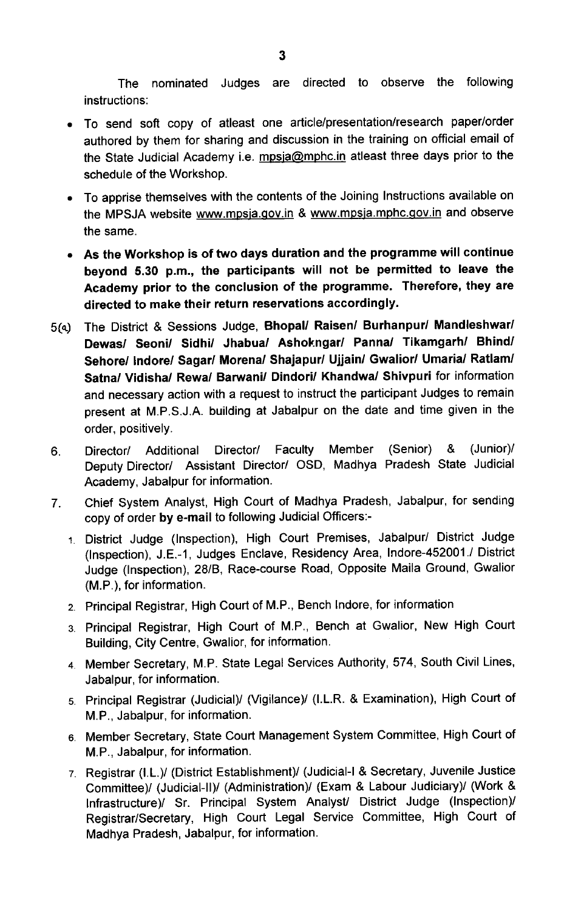The nominated Judges are directed to observe the following instructions:

- To send soft copy of atleast one article/presentation/research paper/order authored by them for sharing and discussion in the training on official email of the State Judicial Academy i.e. mpsja@mphc.in atleast three days prior to the schedule of the Workshop.
- To apprise themselves with the contents of the Joining Instructions available on the MPSJA website www.mpsja.gov.in & www.mpsja.mphc.gov.in and observe the same.
- As the Workshop is of two days duration and the programme will continue beyond 5.30 p.m., the participants will not be permitted to leave the Academy prior to the conclusion of the programme. Therefore, they are directed to make their return reservations accordingly.
- 5(dy The District & Sessions Judge, Bhopal/ Raisen/ Bumanpur/ Mandleshwar/ Dewas/ Seoni/ Sidhi/ Jhabua/ Ashokngar/ Panna/ Tikamgarh/ Bhind/ Sehore/ lndore/ Sagar/ Morena/ Shajapur/ Ujjain/ Gwalior/ Umaria/ Ratlam/ Satna/ Vidisha/ Rewa/ Barwani/ Dindori/ Khandwa/ Shivpuri for information and necessary action with a request to instruct the participant Judges to remain present at M.P.S.J.A. building at Jabalpur on the date and time given in the order, positively.
- 6. Director/ Additional Director/ Faculty Member (Senior) & (Junior)/ Deputy Director/ Assistant Director/ OSD, Madhya Pradesh State Judicial Academy, Jabalpur for information.
- 7, Chief System Analyst, High Court of Madhya Pradesh, Jabalpur, for sending copy of order by e-mail to following Judicial Officers:-
	- 1 District Judge (Inspection), High Court Premises, Jabalpur/ District Judge (Inspection), J.E.-1, Judges Enclave, Residency Area, lndore-452001./ District Judge (Inspection), 28/B, Race-course Road, Opposite Maila Ground, Gwalior (M.P.), for information.
	- 2. Principal Registrar, High Court of M.P., Bench lndore, for information
	- 3. Principal Registrar, High Court of M.P., Bench at Gwalior, New High Court Building, City Centre, Gwalior, for information.
	- 4 Member Secretary, M.P. State Legal Services Authority, 574, South Civil Lines, Jabalpur, for information,
	- 5. Principal Registrar (Judicial)/ (Vigilance)/ (I.L.R. & Examination), High Court of M.P., Jabalpur, for information.
	- 6 Member Secretary, State Court Management System Committee, High Court of M,P., Jabalpur, for information.
	- 7. Registrar (I.L.)/ (District Establishment)/ (Judicial-I & Secretary, Juvenile Justice Committee)/ (Judicial-II)/ (Administration)/ (Exam & Labour Judiciary)/ (Work & Infrastructure)/ Sr. Principal System Analyst/ District Judge (Inspection)/ Registrar/Secretary, High Court Legal Service Committee, High Court of Madhya Pradesh, Jabalpur, for information.